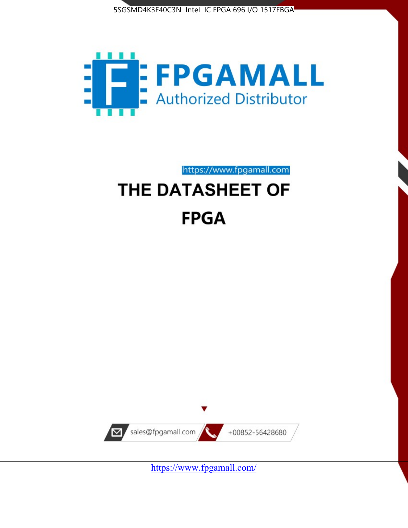



# https://www.fpgamall.com THE DATASHEET OF **FPGA**



<https://www.fpgamall.com/>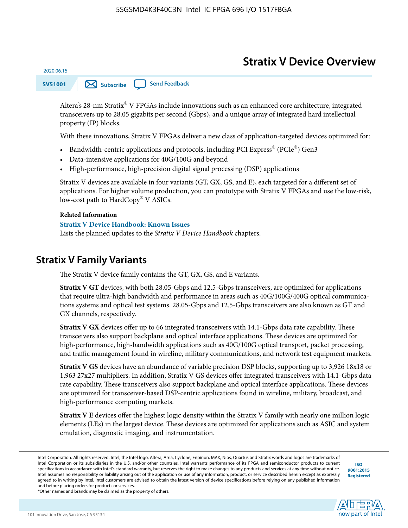# **Stratix V Device Overview**

**SV51001 [Subscribe](https://www.altera.com/servlets/subscriptions/alert?id=SV51001) [Send Feedback](mailto:FPGAtechdocfeedback@intel.com?subject=Feedback%20on%20(SV51001%202020.06.15)%20Stratix%20V%20Device%20Overview&body=We%20appreciate%20your%20feedback.%20In%20your%20comments,%20also%20specify%20the%20page%20number%20or%20paragraph.%20Thank%20you.)** 

Altera's 28-nm Stratix® V FPGAs include innovations such as an enhanced core architecture, integrated transceivers up to 28.05 gigabits per second (Gbps), and a unique array of integrated hard intellectual property (IP) blocks.

With these innovations, Stratix V FPGAs deliver a new class of application-targeted devices optimized for:

- Bandwidth-centric applications and protocols, including PCI Express® (PCIe®) Gen3
- Data-intensive applications for 40G/100G and beyond
- High-performance, high-precision digital signal processing (DSP) applications

Stratix V devices are available in four variants (GT, GX, GS, and E), each targeted for a different set of applications. For higher volume production, you can prototype with Stratix V FPGAs and use the low-risk, low-cost path to HardCopy® V ASICs.

#### **Related Information**

2020.06.15

#### **[Stratix V Device Handbook: Known Issues](http://www.altera.com/support/kdb/solutions/rd08242010_83.html)**

Lists the planned updates to the *Stratix V Device Handbook* chapters.

### **Stratix V Family Variants**

The Stratix V device family contains the GT, GX, GS, and E variants.

**Stratix V GT** devices, with both 28.05-Gbps and 12.5-Gbps transceivers, are optimized for applications that require ultra-high bandwidth and performance in areas such as 40G/100G/400G optical communica‐ tions systems and optical test systems. 28.05-Gbps and 12.5-Gbps transceivers are also known as GT and GX channels, respectively.

**Stratix V GX** devices offer up to 66 integrated transceivers with 14.1-Gbps data rate capability. These transceivers also support backplane and optical interface applications. These devices are optimized for high-performance, high-bandwidth applications such as 40G/100G optical transport, packet processing, and traffic management found in wireline, military communications, and network test equipment markets.

**Stratix V GS** devices have an abundance of variable precision DSP blocks, supporting up to 3,926 18x18 or 1,963 27x27 multipliers. In addition, Stratix V GS devices offer integrated transceivers with 14.1-Gbps data rate capability. These transceivers also support backplane and optical interface applications. These devices are optimized for transceiver-based DSP-centric applications found in wireline, military, broadcast, and high-performance computing markets.

**Stratix V E** devices offer the highest logic density within the Stratix V family with nearly one million logic elements (LEs) in the largest device. These devices are optimized for applications such as ASIC and system emulation, diagnostic imaging, and instrumentation.

**[ISO](http://www.altera.com/support/devices/reliability/certifications/rel-certifications.html) [9001:2015](http://www.altera.com/support/devices/reliability/certifications/rel-certifications.html) [Registered](http://www.altera.com/support/devices/reliability/certifications/rel-certifications.html)**

**low part of Intel** 

\*Other names and brands may be claimed as the property of others.

Intel Corporation. All rights reserved. Intel, the Intel logo, Altera, Arria, Cyclone, Enpirion, MAX, Nios, Quartus and Stratix words and logos are trademarks of Intel Corporation or its subsidiaries in the U.S. and/or other countries. Intel warrants performance of its FPGA and semiconductor products to current specifications in accordance with Intel's standard warranty, but reserves the right to make changes to any products and services at any time without notice. Intel assumes no responsibility or liability arising out of the application or use of any information, product, or service described herein except as expressly agreed to in writing by Intel. Intel customers are advised to obtain the latest version of device specifications before relying on any published information and before placing orders for products or services.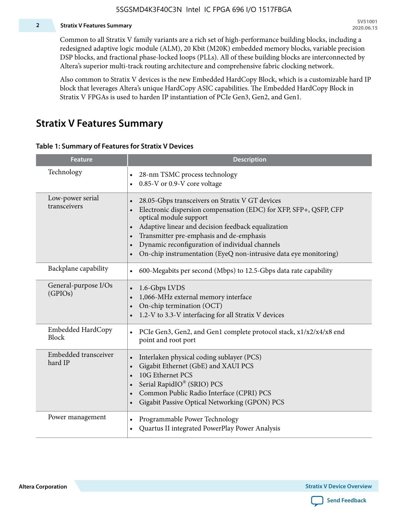#### **2 Stratix V Features Summary**

Common to all Stratix V family variants are a rich set of high-performance building blocks, including a redesigned adaptive logic module (ALM), 20 Kbit (M20K) embedded memory blocks, variable precision DSP blocks, and fractional phase-locked loops (PLLs). All of these building blocks are interconnected by Altera's superior multi-track routing architecture and comprehensive fabric clocking network.

Also common to Stratix V devices is the new Embedded HardCopy Block, which is a customizable hard IP block that leverages Altera's unique HardCopy ASIC capabilities. The Embedded HardCopy Block in Stratix V FPGAs is used to harden IP instantiation of PCIe Gen3, Gen2, and Gen1.

### **Stratix V Features Summary**

#### **Table 1: Summary of Features for Stratix V Devices**

| <b>Feature</b>                    | <b>Description</b>                                                                                                                                                                                                                                                                                                                                                                                                         |
|-----------------------------------|----------------------------------------------------------------------------------------------------------------------------------------------------------------------------------------------------------------------------------------------------------------------------------------------------------------------------------------------------------------------------------------------------------------------------|
| Technology                        | 28-nm TSMC process technology<br>0.85-V or 0.9-V core voltage                                                                                                                                                                                                                                                                                                                                                              |
| Low-power serial<br>transceivers  | 28.05-Gbps transceivers on Stratix V GT devices<br>$\bullet$<br>Electronic dispersion compensation (EDC) for XFP, SFP+, QSFP, CFP<br>optical module support<br>Adaptive linear and decision feedback equalization<br>$\bullet$<br>Transmitter pre-emphasis and de-emphasis<br>Dynamic reconfiguration of individual channels<br>$\bullet$<br>On-chip instrumentation (EyeQ non-intrusive data eye monitoring)<br>$\bullet$ |
| Backplane capability              | 600-Megabits per second (Mbps) to 12.5-Gbps data rate capability<br>$\bullet$                                                                                                                                                                                                                                                                                                                                              |
| General-purpose I/Os<br>(GPIOs)   | 1.6-Gbps LVDS<br>1,066-MHz external memory interface<br>$\bullet$<br>On-chip termination (OCT)<br>$\bullet$<br>1.2-V to 3.3-V interfacing for all Stratix V devices                                                                                                                                                                                                                                                        |
| Embedded HardCopy<br><b>Block</b> | PCIe Gen3, Gen2, and Gen1 complete protocol stack, x1/x2/x4/x8 end<br>$\bullet$<br>point and root port                                                                                                                                                                                                                                                                                                                     |
| Embedded transceiver<br>hard IP   | Interlaken physical coding sublayer (PCS)<br>$\bullet$<br>Gigabit Ethernet (GbE) and XAUI PCS<br>$\bullet$<br>10G Ethernet PCS<br>Serial RapidIO® (SRIO) PCS<br>$\bullet$<br>Common Public Radio Interface (CPRI) PCS<br>$\bullet$<br>Gigabit Passive Optical Networking (GPON) PCS<br>$\bullet$                                                                                                                           |
| Power management                  | Programmable Power Technology<br>$\bullet$<br>Quartus II integrated PowerPlay Power Analysis<br>$\bullet$                                                                                                                                                                                                                                                                                                                  |

**Altera Corporation** 

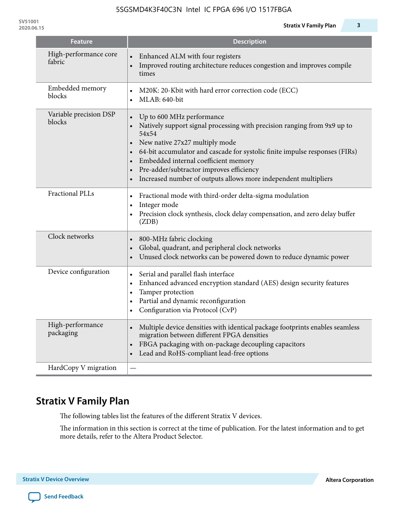| <b>Feature</b>                   | <b>Description</b>                                                                                                                                                                                                                                                                                                                                                                                                                                                                |
|----------------------------------|-----------------------------------------------------------------------------------------------------------------------------------------------------------------------------------------------------------------------------------------------------------------------------------------------------------------------------------------------------------------------------------------------------------------------------------------------------------------------------------|
| High-performance core<br>fabric  | Enhanced ALM with four registers<br>Improved routing architecture reduces congestion and improves compile<br>times                                                                                                                                                                                                                                                                                                                                                                |
| Embedded memory<br>blocks        | M20K: 20-Kbit with hard error correction code (ECC)<br>MLAB: 640-bit<br>$\bullet$                                                                                                                                                                                                                                                                                                                                                                                                 |
| Variable precision DSP<br>blocks | Up to 600 MHz performance<br>$\bullet$<br>Natively support signal processing with precision ranging from 9x9 up to<br>$\bullet$<br>54x54<br>New native 27x27 multiply mode<br>$\bullet$<br>64-bit accumulator and cascade for systolic finite impulse responses (FIRs)<br>$\bullet$<br>Embedded internal coefficient memory<br>$\bullet$<br>Pre-adder/subtractor improves efficiency<br>$\bullet$<br>Increased number of outputs allows more independent multipliers<br>$\bullet$ |
| <b>Fractional PLLs</b>           | Fractional mode with third-order delta-sigma modulation<br>$\bullet$<br>Integer mode<br>$\bullet$<br>Precision clock synthesis, clock delay compensation, and zero delay buffer<br>$\bullet$<br>(ZDB)                                                                                                                                                                                                                                                                             |
| Clock networks                   | 800-MHz fabric clocking<br>$\bullet$<br>Global, quadrant, and peripheral clock networks<br>$\bullet$<br>Unused clock networks can be powered down to reduce dynamic power<br>$\bullet$                                                                                                                                                                                                                                                                                            |
| Device configuration             | Serial and parallel flash interface<br>$\bullet$<br>Enhanced advanced encryption standard (AES) design security features<br>$\bullet$<br>Tamper protection<br>٠<br>Partial and dynamic reconfiguration<br>$\bullet$<br>Configuration via Protocol (CvP)                                                                                                                                                                                                                           |
| High-performance<br>packaging    | Multiple device densities with identical package footprints enables seamless<br>$\bullet$<br>migration between different FPGA densities<br>FBGA packaging with on-package decoupling capacitors<br>$\bullet$<br>Lead and RoHS-compliant lead-free options                                                                                                                                                                                                                         |
| HardCopy V migration             |                                                                                                                                                                                                                                                                                                                                                                                                                                                                                   |

# **Stratix V Family Plan**

The following tables list the features of the different Stratix V devices.

The information in this section is correct at the time of publication. For the latest information and to get more details, refer to the Altera Product Selector.

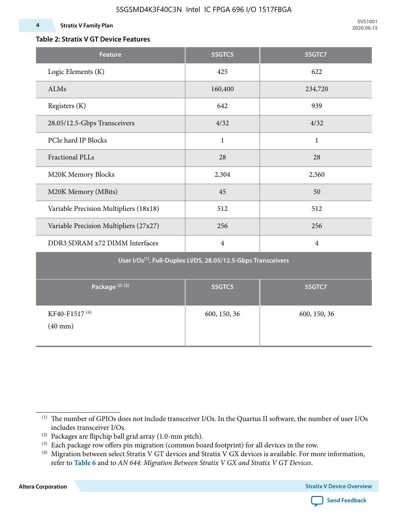#### **4 Stratix V Family Plan**

### **Table 2: Stratix V GT Device Features**

| <b>Feature</b>                                 | 5SGTC5                                                                    | 5SGTC7         |
|------------------------------------------------|---------------------------------------------------------------------------|----------------|
| Logic Elements (K)                             | 425                                                                       | 622            |
| ALMs                                           | 160,400                                                                   | 234,720        |
| Registers (K)                                  | 642                                                                       | 939            |
| 28.05/12.5-Gbps Transceivers                   | 4/32                                                                      | 4/32           |
| PCIe hard IP Blocks                            | $\mathbf{1}$                                                              | $\mathbf{1}$   |
| <b>Fractional PLLs</b>                         | 28                                                                        | 28             |
| M20K Memory Blocks                             | 2,304                                                                     | 2,560          |
| M20K Memory (MBits)                            | 45                                                                        | 50             |
| Variable Precision Multipliers (18x18)         | 512                                                                       | 512            |
| Variable Precision Multipliers (27x27)         | 256                                                                       | 256            |
| DDR3 SDRAM x72 DIMM Interfaces                 | $\overline{4}$                                                            | $\overline{4}$ |
|                                                | User I/Os <sup>(1)</sup> , Full-Duplex LVDS, 28.05/12.5-Gbps Transceivers |                |
| Package <sup>(2)(3)</sup>                      | 5SGTC5                                                                    | 5SGTC7         |
| KF40-F1517 <sup>(4)</sup><br>$(40 \text{ mm})$ | 600, 150, 36                                                              | 600, 150, 36   |

**Altera Corporation** 



<sup>(1)</sup> The number of GPIOs does not include transceiver I/Os. In the Quartus II software, the number of user I/Os includes transceiver I/Os.

 $^{(2)}$  Packages are flipchip ball grid array (1.0-mm pitch).

<sup>(3)</sup> Each package row offers pin migration (common board footprint) for all devices in the row.

<sup>(4)</sup> Migration between select Stratix V GT devices and Stratix V GX devices is available. For more information, refer to **Table 6** and to *AN 644: Migration Between Stratix V GX and Stratix V GT Devices*.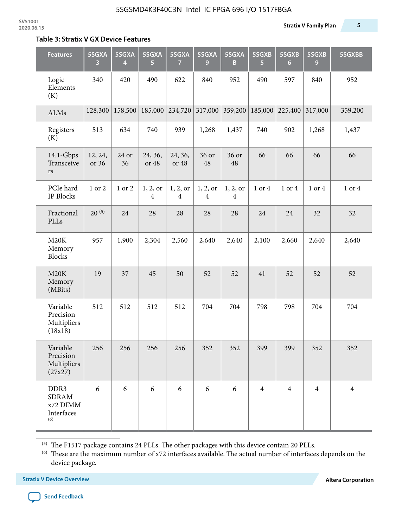#### **Table 3: Stratix V GX Device Features**

| <b>Features</b>                                       | 5SGXA<br>3       | 5SGXA<br>4  | 5SGXA<br>5.      | 5SGXA<br>7                 | 5SGXA<br>9    | 5SGXA<br>B                          | 5SGXB<br>$\overline{5}$ | 5SGXB<br>6     | 5SGXB<br>9     | 5SGXBB         |
|-------------------------------------------------------|------------------|-------------|------------------|----------------------------|---------------|-------------------------------------|-------------------------|----------------|----------------|----------------|
| Logic<br>Elements<br>(K)                              | 340              | 420         | 490              | 622                        | 840           | 952                                 | 490                     | 597            | 840            | 952            |
| ALMs                                                  | 128,300          | 158,500     | 185,000          | 234,720                    | 317,000       | 359,200                             | 185,000                 | 225,400        | 317,000        | 359,200        |
| Registers<br>(K)                                      | 513              | 634         | 740              | 939                        | 1,268         | 1,437                               | 740                     | 902            | 1,268          | 1,437          |
| $14.1$ -Gbps<br>Transceive<br>$\mathbf{r}\mathbf{s}$  | 12, 24,<br>or 36 | 24 or<br>36 | 24, 36,<br>or 48 | 24, 36,<br>or 48           | 36 or<br>48   | 36 or<br>48                         | 66                      | 66             | 66             | 66             |
| PCIe hard<br>IP Blocks                                | 1 or 2           | 1 or 2      | 1, 2, or<br>4    | 1, 2, or<br>$\overline{4}$ | 1, 2, or<br>4 | 1, 2, or<br>$\overline{\mathbf{4}}$ | 1 or 4                  | 1 or 4         | 1 or 4         | 1 or 4         |
| Fractional<br>PLLs                                    | $20^{(5)}$       | 24          | 28               | 28                         | 28            | 28                                  | 24                      | 24             | 32             | 32             |
| M20K<br>Memory<br><b>Blocks</b>                       | 957              | 1,900       | 2,304            | 2,560                      | 2,640         | 2,640                               | 2,100                   | 2,660          | 2,640          | 2,640          |
| M20K<br>Memory<br>(MBits)                             | 19               | 37          | 45               | 50                         | 52            | 52                                  | 41                      | 52             | 52             | 52             |
| Variable<br>Precision<br>Multipliers<br>(18x18)       | 512              | 512         | 512              | 512                        | 704           | 704                                 | 798                     | 798            | 704            | 704            |
| Variable<br>Precision<br>Multipliers<br>(27x27)       | 256              | 256         | 256              | 256                        | 352           | 352                                 | 399                     | 399            | 352            | 352            |
| DDR3<br><b>SDRAM</b><br>x72 DIMM<br>Interfaces<br>(6) | 6                | 6           | 6                | 6                          | 6             | 6                                   | $\overline{4}$          | $\overline{4}$ | $\overline{4}$ | $\overline{4}$ |

 $^{\left(5\right)}$  The F1517 package contains 24 PLLs. The other packages with this device contain 20 PLLs.

(6) These are the maximum number of x72 interfaces available. The actual number of interfaces depends on the device package.

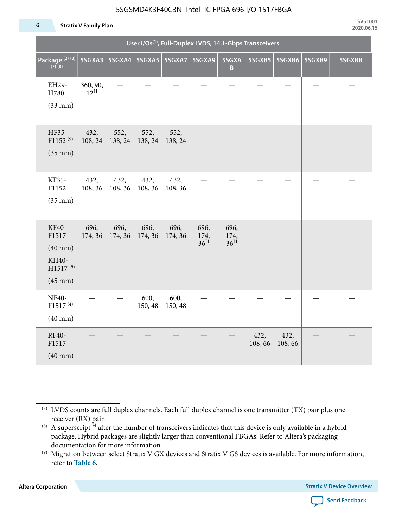#### **6 Stratix V Family Plan**

|                                                                                 | User I/Os <sup>(1)</sup> , Full-Duplex LVDS, 14.1-Gbps Transceivers |                 |                 |                 |                                 |                                 |                |                 |        |        |  |  |
|---------------------------------------------------------------------------------|---------------------------------------------------------------------|-----------------|-----------------|-----------------|---------------------------------|---------------------------------|----------------|-----------------|--------|--------|--|--|
| Package <sup>(2)(3)</sup><br>$(7)$ (8)                                          | 5SGXA3                                                              |                 |                 |                 | 5SGXA9                          | 5SGXA<br>B                      |                | 5SGXB5   5SGXB6 | 5SGXB9 | 5SGXBB |  |  |
| EH29-<br>H780<br>$(33$ mm $)$                                                   | 360, 90,<br>$12^{\text{H}}$                                         |                 |                 |                 |                                 |                                 |                |                 |        |        |  |  |
| HF35-<br>$F1152^{(9)}$<br>$(35$ mm $)$                                          | 432,<br>108, 24                                                     | 552,<br>138, 24 | 552,<br>138, 24 | 552,<br>138, 24 |                                 |                                 |                |                 |        |        |  |  |
| KF35-<br>F1152<br>$(35$ mm $)$                                                  | 432,<br>108, 36                                                     | 432,<br>108, 36 | 432,<br>108, 36 | 432,<br>108, 36 |                                 |                                 |                |                 |        |        |  |  |
| KF40-<br>F1517<br>$(40$ mm $)$<br>KH40-<br>H1517 <sup>(9)</sup><br>$(45$ mm $)$ | 696,<br>174, 36                                                     | 696,<br>174, 36 | 696,<br>174, 36 | 696,<br>174, 36 | 696,<br>174,<br>36 <sup>H</sup> | 696,<br>174,<br>36 <sup>H</sup> |                |                 |        |        |  |  |
| NF40-<br>F1517 <sup>(4)</sup><br>$(40$ mm $)$                                   |                                                                     |                 | 600,<br>150, 48 | 600,<br>150, 48 |                                 |                                 |                |                 |        |        |  |  |
| RF40-<br>F1517<br>$(40$ mm $)$                                                  |                                                                     |                 |                 |                 |                                 |                                 | 432,<br>108,66 | 432,<br>108,66  |        |        |  |  |

**Altera Corporation** 



<sup>(7)</sup> LVDS counts are full duplex channels. Each full duplex channel is one transmitter (TX) pair plus one receiver (RX) pair.

<sup>(8)</sup> A superscript  $H$  after the number of transceivers indicates that this device is only available in a hybrid package. Hybrid packages are slightly larger than conventional FBGAs. Refer to Altera's packaging documentation for more information.

<sup>(9)</sup> Migration between select Stratix V GX devices and Stratix V GS devices is available. For more information, refer to **Table 6**.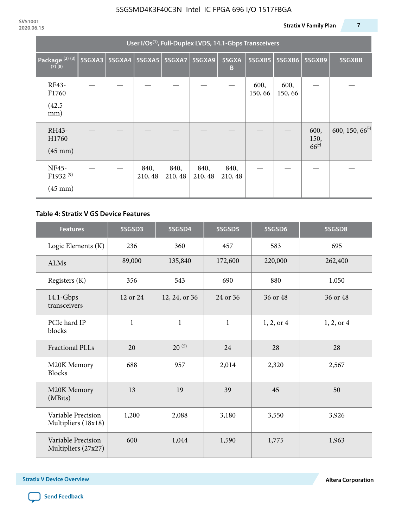|                                                           | User I/Os <sup>(1)</sup> , Full-Duplex LVDS, 14.1-Gbps Transceivers |  |                          |                 |                 |                 |                 |                |                                 |                           |  |  |
|-----------------------------------------------------------|---------------------------------------------------------------------|--|--------------------------|-----------------|-----------------|-----------------|-----------------|----------------|---------------------------------|---------------------------|--|--|
| Package <sup>(2)(3)</sup><br>$(7)$ $(8)$                  | 5SGXA3                                                              |  | 5SGXA4   5SGXA5   5SGXA7 |                 | 5SGXA9          | 5SGXA<br>B      | 5SGXB5          | 5SGXB6         | 5SGXB9                          | 5SGXBB                    |  |  |
| RF43-<br>F1760<br>(42.5)<br>mm)                           |                                                                     |  |                          |                 |                 |                 | 600,<br>150, 66 | 600,<br>150,66 |                                 |                           |  |  |
| RH43-<br>H1760<br>$(45 \text{ mm})$                       |                                                                     |  |                          |                 |                 |                 |                 |                | 600,<br>150,<br>66 <sup>H</sup> | 600, 150, 66 <sup>H</sup> |  |  |
| <b>NF45-</b><br>F1932 <sup>(9)</sup><br>$(45 \text{ mm})$ |                                                                     |  | 840,<br>210, 48          | 840,<br>210, 48 | 840,<br>210, 48 | 840,<br>210, 48 |                 |                |                                 |                           |  |  |

#### **Table 4: Stratix V GS Device Features**

| <b>Features</b>                           | 5SGSD3       | 5SGSD4        | 5SGSD5       | 5SGSD6     | 5SGSD8     |
|-------------------------------------------|--------------|---------------|--------------|------------|------------|
| Logic Elements (K)                        | 236          | 360           | 457          | 583        | 695        |
| <b>ALMs</b>                               | 89,000       | 135,840       | 172,600      | 220,000    | 262,400    |
| Registers (K)                             | 356          | 543           | 690          | 880        | 1,050      |
| $14.1$ -Gbps<br>transceivers              | 12 or 24     | 12, 24, or 36 | 24 or 36     | 36 or 48   | 36 or 48   |
| PCIe hard IP<br>blocks                    | $\mathbf{1}$ | $\mathbf{1}$  | $\mathbf{1}$ | 1, 2, or 4 | 1, 2, or 4 |
| <b>Fractional PLLs</b>                    | 20           | $20^{(5)}$    | 24           | 28         | 28         |
| M20K Memory<br><b>Blocks</b>              | 688          | 957           | 2,014        | 2,320      | 2,567      |
| M20K Memory<br>(MBits)                    | 13           |               | 39           | 45         | 50         |
| Variable Precision<br>Multipliers (18x18) | 1,200        | 2,088         | 3,180        | 3,550      | 3,926      |
| Variable Precision<br>Multipliers (27x27) | 600          | 1,044         | 1,590        | 1,775      | 1,963      |

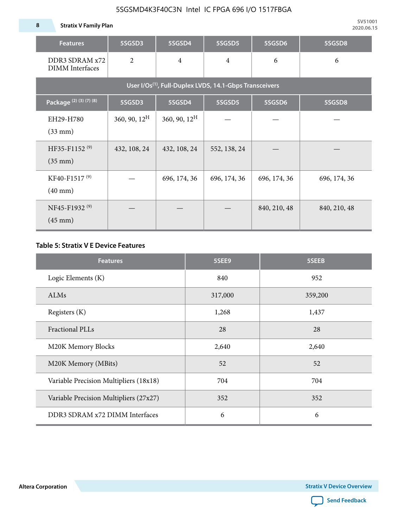**8 Stratix V Family Plan**

| <b>Features</b>                                                     | 5SGSD3          | 5SGSD4          | 5SGSD5         | 5SGSD6       | 5SGSD8       |  |  |  |  |  |  |
|---------------------------------------------------------------------|-----------------|-----------------|----------------|--------------|--------------|--|--|--|--|--|--|
| DDR3 SDRAM x72<br><b>DIMM</b> Interfaces                            | $\overline{2}$  | $\overline{4}$  | $\overline{4}$ |              | 6            |  |  |  |  |  |  |
| User I/Os <sup>(1)</sup> , Full-Duplex LVDS, 14.1-Gbps Transceivers |                 |                 |                |              |              |  |  |  |  |  |  |
| Package (2) (3) (7) (8)                                             | 5SGSD3          | 5SGSD4          | 5SGSD5         | 5SGSD6       | 5SGSD8       |  |  |  |  |  |  |
| EH29-H780<br>$(33$ mm $)$                                           | 360, 90, $12^H$ | 360, 90, $12^H$ |                |              |              |  |  |  |  |  |  |
| HF35-F1152 <sup>(9)</sup><br>$(35 \text{ mm})$                      | 432, 108, 24    | 432, 108, 24    | 552, 138, 24   |              |              |  |  |  |  |  |  |
| KF40-F1517 <sup>(9)</sup><br>$(40 \text{ mm})$                      |                 | 696, 174, 36    | 696, 174, 36   | 696, 174, 36 | 696, 174, 36 |  |  |  |  |  |  |
| NF45-F1932 <sup>(9)</sup><br>$(45 \text{ mm})$                      |                 |                 |                | 840, 210, 48 | 840, 210, 48 |  |  |  |  |  |  |

#### **Table 5: Stratix V E Device Features**

| <b>Features</b>                        | 5SEE9   | 5SEEB   |
|----------------------------------------|---------|---------|
| Logic Elements (K)                     | 840     | 952     |
| <b>ALMs</b>                            | 317,000 | 359,200 |
| Registers (K)                          | 1,268   | 1,437   |
| <b>Fractional PLLs</b>                 | 28      | 28      |
| M20K Memory Blocks                     | 2,640   | 2,640   |
| M20K Memory (MBits)                    | 52      | 52      |
| Variable Precision Multipliers (18x18) | 704     | 704     |
| Variable Precision Multipliers (27x27) | 352     | 352     |
| DDR3 SDRAM x72 DIMM Interfaces         | 6       | 6       |

**Altera Corporation** 

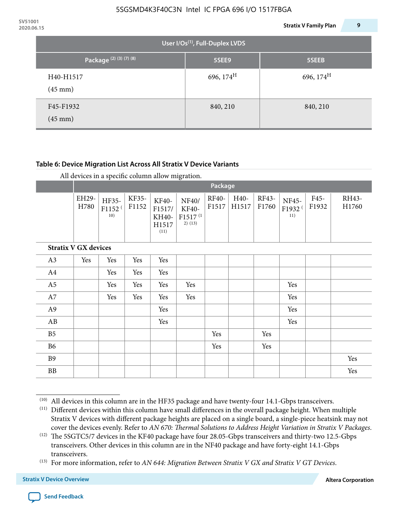| 2020.06.15 |                                |                                             | 9<br><b>Stratix V Family Plan</b> |
|------------|--------------------------------|---------------------------------------------|-----------------------------------|
|            |                                | User I/Os <sup>(1)</sup> , Full-Duplex LVDS |                                   |
|            | Package (2) (3) (7) (8)        | 5SEE9                                       | 5SEEB                             |
|            | H40-H1517<br>$(45 \text{ mm})$ | 696, $174^H$                                | 696, $174^{\text{H}}$             |
|            | F45-F1932<br>$(45 \text{ mm})$ | 840, 210                                    | 840, 210                          |

#### **Table 6: Device Migration List Across All Stratix V Device Variants**

|  |  | All devices in a specific column allow migration. |
|--|--|---------------------------------------------------|
|--|--|---------------------------------------------------|

|                             |               | Package                            |                |                                           |                                                           |                |               |                |                                    |               |                |
|-----------------------------|---------------|------------------------------------|----------------|-------------------------------------------|-----------------------------------------------------------|----------------|---------------|----------------|------------------------------------|---------------|----------------|
|                             | EH29-<br>H780 | HF35-<br>F1152 <sup>(</sup><br>10) | KF35-<br>F1152 | KF40-<br>F1517/<br>KH40-<br>H1517<br>(11) | NF40/<br><b>KF40-</b><br>F1517 <sup>(1</sup><br>$2)$ (13) | RF40-<br>F1517 | H40-<br>H1517 | RF43-<br>F1760 | NF45-<br>F1932 <sup>(</sup><br>11) | F45-<br>F1932 | RH43-<br>H1760 |
| <b>Stratix V GX devices</b> |               |                                    |                |                                           |                                                           |                |               |                |                                    |               |                |
| A3                          | Yes           | Yes                                | Yes            | Yes                                       |                                                           |                |               |                |                                    |               |                |
| A4                          |               | Yes                                | Yes            | Yes                                       |                                                           |                |               |                |                                    |               |                |
| A <sub>5</sub>              |               | Yes                                | Yes            | Yes                                       | Yes                                                       |                |               |                | Yes                                |               |                |
| A7                          |               | Yes                                | Yes            | Yes                                       | Yes                                                       |                |               |                | Yes                                |               |                |
| A <sub>9</sub>              |               |                                    |                | Yes                                       |                                                           |                |               |                | Yes                                |               |                |
| AB                          |               |                                    |                | Yes                                       |                                                           |                |               |                | Yes                                |               |                |
| B <sub>5</sub>              |               |                                    |                |                                           |                                                           | Yes            |               | Yes            |                                    |               |                |
| B <sub>6</sub>              |               |                                    |                |                                           |                                                           | Yes            |               | Yes            |                                    |               |                |
| <b>B9</b>                   |               |                                    |                |                                           |                                                           |                |               |                |                                    |               | Yes            |
| <b>BB</b>                   |               |                                    |                |                                           |                                                           |                |               |                |                                    |               | Yes            |

 $(10)$  All devices in this column are in the HF35 package and have twenty-four 14.1-Gbps transceivers.



<sup>(11)</sup> Different devices within this column have small differences in the overall package height. When multiple Stratix V devices with different package heights are placed on a single board, a single-piece heatsink may not cover the devices evenly. Refer to *AN 670: Thermal Solutions to Address Height Variation in Stratix V Packages*.

<sup>(12)</sup> The 5SGTC5/7 devices in the KF40 package have four 28.05-Gbps transceivers and thirty-two 12.5-Gbps transceivers. Other devices in this column are in the NF40 package and have forty-eight 14.1-Gbps transceivers.

<sup>(13)</sup> For more information, refer to *AN 644: Migration Between Stratix V GX and Stratix V GT Devices*.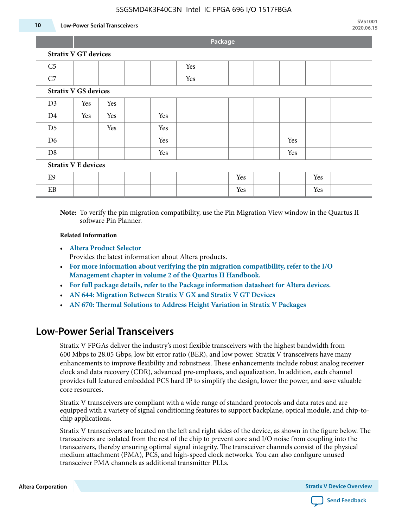#### **10 Low-Power Serial Transceivers**

**Package**

| C <sub>5</sub>             |                             |     |     | Yes |  |     |     |     |  |
|----------------------------|-----------------------------|-----|-----|-----|--|-----|-----|-----|--|
| C7                         |                             |     |     | Yes |  |     |     |     |  |
|                            | <b>Stratix V GS devices</b> |     |     |     |  |     |     |     |  |
| D3                         | Yes                         | Yes |     |     |  |     |     |     |  |
| D <sub>4</sub>             | Yes                         | Yes | Yes |     |  |     |     |     |  |
| D <sub>5</sub>             |                             | Yes | Yes |     |  |     |     |     |  |
| D <sub>6</sub>             |                             |     | Yes |     |  |     | Yes |     |  |
| D <sub>8</sub>             |                             |     | Yes |     |  |     | Yes |     |  |
| <b>Stratix V E devices</b> |                             |     |     |     |  |     |     |     |  |
| E <sub>9</sub>             |                             |     |     |     |  | Yes |     | Yes |  |
| EB                         |                             |     |     |     |  | Yes |     | Yes |  |

**Note:** To verify the pin migration compatibility, use the Pin Migration View window in the Quartus II software Pin Planner.

#### **Related Information**

• **[Altera Product Selector](http://www.altera.com/products/selector/psg-selector.html#)**

Provides the latest information about Altera products.

- **[For more information about verifying the pin migration compatibility, refer to the I/O](http://www.altera.com/literature/hb/qts/qts_qii52013.pdf) [Management chapter in volume 2 of the Quartus II Handbook.](http://www.altera.com/literature/hb/qts/qts_qii52013.pdf)**
- **[For full package details, refer to the Package information datasheet for Altera devices.](http://www.altera.com/support/devices/packaging/specifications/pkg-pin/spe-index.jsp)**
- **[AN 644: Migration Between Stratix V GX and Stratix V GT Devices](http://www.altera.com/literature/an/an644.pdf)**
- **[AN 670: Thermal Solutions to Address Height Variation in Stratix V Packages](http://www.altera.com/literature/an/an670.pdf)**

### **Low-Power Serial Transceivers**

Stratix V FPGAs deliver the industry's most flexible transceivers with the highest bandwidth from 600 Mbps to 28.05 Gbps, low bit error ratio (BER), and low power. Stratix V transceivers have many enhancements to improve flexibility and robustness. These enhancements include robust analog receiver clock and data recovery (CDR), advanced pre-emphasis, and equalization. In addition, each channel provides full featured embedded PCS hard IP to simplify the design, lower the power, and save valuable core resources.

Stratix V transceivers are compliant with a wide range of standard protocols and data rates and are equipped with a variety of signal conditioning features to support backplane, optical module, and chip-tochip applications.

Stratix V transceivers are located on the left and right sides of the device, as shown in the figure below. The transceivers are isolated from the rest of the chip to prevent core and I/O noise from coupling into the transceivers, thereby ensuring optimal signal integrity. The transceiver channels consist of the physical medium attachment (PMA), PCS, and high-speed clock networks. You can also configure unused transceiver PMA channels as additional transmitter PLLs.

**Altera Corporation Stratix V Device Overview**

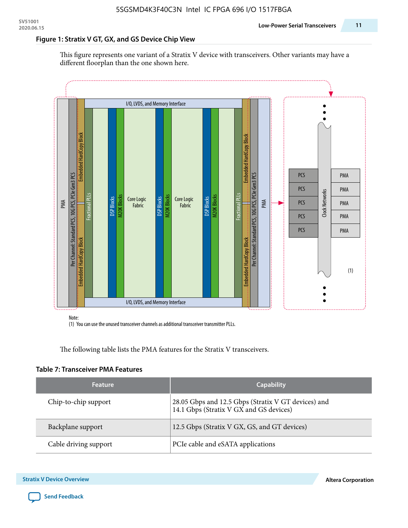#### **Figure 1: Stratix V GT, GX, and GS Device Chip View**

This figure represents one variant of a Stratix V device with transceivers. Other variants may have a different floorplan than the one shown here.



(1) You can use the unused transceiver channels as additional transceiver transmitter PLLs.

The following table lists the PMA features for the Stratix V transceivers.

#### **Table 7: Transceiver PMA Features**

| <b>Feature</b>        | <b>Capability</b>                                                                              |
|-----------------------|------------------------------------------------------------------------------------------------|
| Chip-to-chip support  | 28.05 Gbps and 12.5 Gbps (Stratix V GT devices) and<br>14.1 Gbps (Stratix V GX and GS devices) |
| Backplane support     | 12.5 Gbps (Stratix V GX, GS, and GT devices)                                                   |
| Cable driving support | PCIe cable and eSATA applications                                                              |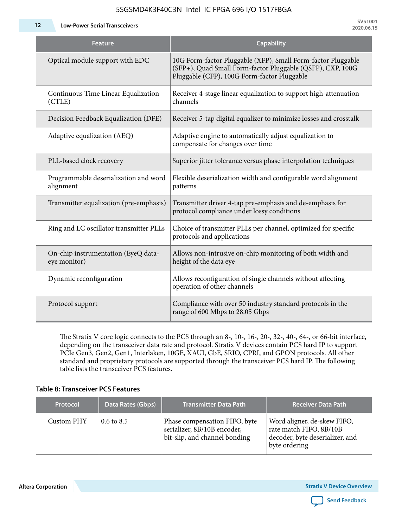**12 Low-Power Serial Transceivers**

| Feature                                             | <b>Capability</b>                                                                                                                                                         |  |  |  |
|-----------------------------------------------------|---------------------------------------------------------------------------------------------------------------------------------------------------------------------------|--|--|--|
| Optical module support with EDC                     | 10G Form-factor Pluggable (XFP), Small Form-factor Pluggable<br>(SFP+), Quad Small Form-factor Pluggable (QSFP), CXP, 100G<br>Pluggable (CFP), 100G Form-factor Pluggable |  |  |  |
| Continuous Time Linear Equalization<br>(CTLE)       | Receiver 4-stage linear equalization to support high-attenuation<br>channels                                                                                              |  |  |  |
| Decision Feedback Equalization (DFE)                | Receiver 5-tap digital equalizer to minimize losses and crosstalk                                                                                                         |  |  |  |
| Adaptive equalization (AEQ)                         | Adaptive engine to automatically adjust equalization to<br>compensate for changes over time                                                                               |  |  |  |
| PLL-based clock recovery                            | Superior jitter tolerance versus phase interpolation techniques                                                                                                           |  |  |  |
| Programmable deserialization and word<br>alignment  | Flexible deserialization width and configurable word alignment<br>patterns                                                                                                |  |  |  |
| Transmitter equalization (pre-emphasis)             | Transmitter driver 4-tap pre-emphasis and de-emphasis for<br>protocol compliance under lossy conditions                                                                   |  |  |  |
| Ring and LC oscillator transmitter PLLs             | Choice of transmitter PLLs per channel, optimized for specific<br>protocols and applications                                                                              |  |  |  |
| On-chip instrumentation (EyeQ data-<br>eye monitor) | Allows non-intrusive on-chip monitoring of both width and<br>height of the data eye                                                                                       |  |  |  |
| Dynamic reconfiguration                             | Allows reconfiguration of single channels without affecting<br>operation of other channels                                                                                |  |  |  |
| Protocol support                                    | Compliance with over 50 industry standard protocols in the<br>range of 600 Mbps to 28.05 Gbps                                                                             |  |  |  |

The Stratix V core logic connects to the PCS through an 8-, 10-, 16-, 20-, 32-, 40-, 64-, or 66-bit interface, depending on the transceiver data rate and protocol. Stratix V devices contain PCS hard IP to support PCIe Gen3, Gen2, Gen1, Interlaken, 10GE, XAUI, GbE, SRIO, CPRI, and GPON protocols. All other standard and proprietary protocols are supported through the transceiver PCS hard IP. The following table lists the transceiver PCS features.

#### **Table 8: Transceiver PCS Features**

| <b>Protocol</b> | Data Rates (Gbps)     | <b>Transmitter Data Path</b>                                                                  | <b>Receiver Data Path</b>                                                                                  |
|-----------------|-----------------------|-----------------------------------------------------------------------------------------------|------------------------------------------------------------------------------------------------------------|
| Custom PHY      | $0.6 \text{ to } 8.5$ | Phase compensation FIFO, byte<br>serializer, 8B/10B encoder,<br>bit-slip, and channel bonding | Word aligner, de-skew FIFO,<br>rate match FIFO, 8B/10B<br>decoder, byte deserializer, and<br>byte ordering |

**Altera Corporation** 

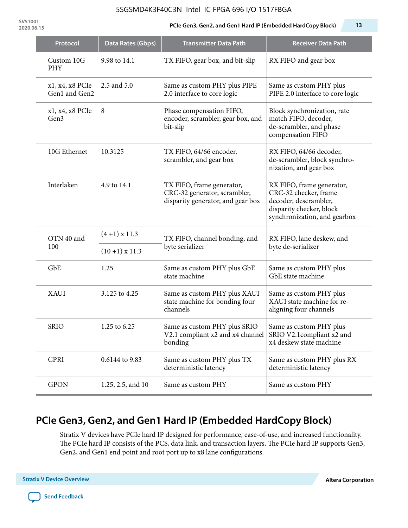**SV51001**

#### **2020.06.15 PCIe Gen3, Gen2, and Gen1 Hard IP (Embedded HardCopy Block) 13**

| Protocol                         | Data Rates (Gbps)    | <b>Transmitter Data Path</b>                                                                   | <b>Receiver Data Path</b>                                                                                                               |  |
|----------------------------------|----------------------|------------------------------------------------------------------------------------------------|-----------------------------------------------------------------------------------------------------------------------------------------|--|
| Custom 10G<br>PHY                | 9.98 to 14.1         | TX FIFO, gear box, and bit-slip                                                                | RX FIFO and gear box                                                                                                                    |  |
| x1, x4, x8 PCIe<br>Gen1 and Gen2 | 2.5 and 5.0          | Same as custom PHY plus PIPE<br>2.0 interface to core logic                                    | Same as custom PHY plus<br>PIPE 2.0 interface to core logic                                                                             |  |
| x1, x4, x8 PCIe<br>Gen3          | 8                    | Phase compensation FIFO,<br>encoder, scrambler, gear box, and<br>bit-slip                      | Block synchronization, rate<br>match FIFO, decoder,<br>de-scrambler, and phase<br>compensation FIFO                                     |  |
| 10G Ethernet                     | 10.3125              | TX FIFO, 64/66 encoder,<br>scrambler, and gear box                                             | RX FIFO, 64/66 decoder,<br>de-scrambler, block synchro-<br>nization, and gear box                                                       |  |
| Interlaken                       | 4.9 to 14.1          | TX FIFO, frame generator,<br>CRC-32 generator, scrambler,<br>disparity generator, and gear box | RX FIFO, frame generator,<br>CRC-32 checker, frame<br>decoder, descrambler,<br>disparity checker, block<br>synchronization, and gearbox |  |
| OTN 40 and                       | $(4+1)$ x 11.3       | TX FIFO, channel bonding, and                                                                  | RX FIFO, lane deskew, and                                                                                                               |  |
| 100                              | $(10+1) \times 11.3$ | byte serializer                                                                                | byte de-serializer                                                                                                                      |  |
| GbE                              | 1.25                 | Same as custom PHY plus GbE<br>state machine                                                   | Same as custom PHY plus<br>GbE state machine                                                                                            |  |
| <b>XAUI</b>                      | 3.125 to 4.25        | Same as custom PHY plus XAUI<br>state machine for bonding four<br>channels                     | Same as custom PHY plus<br>XAUI state machine for re-<br>aligning four channels                                                         |  |
| <b>SRIO</b>                      | 1.25 to 6.25         | Same as custom PHY plus SRIO<br>V2.1 compliant x2 and x4 channel<br>bonding                    | Same as custom PHY plus<br>SRIO V2.1compliant x2 and<br>x4 deskew state machine                                                         |  |
| <b>CPRI</b>                      | 0.6144 to 9.83       | Same as custom PHY plus TX<br>deterministic latency                                            | Same as custom PHY plus RX<br>deterministic latency                                                                                     |  |
| <b>GPON</b>                      | 1.25, 2.5, and 10    | Same as custom PHY                                                                             | Same as custom PHY                                                                                                                      |  |

# **PCIe Gen3, Gen2, and Gen1 Hard IP (Embedded HardCopy Block)**

Stratix V devices have PCIe hard IP designed for performance, ease-of-use, and increased functionality. The PCIe hard IP consists of the PCS, data link, and transaction layers. The PCIe hard IP supports Gen3, Gen2, and Gen1 end point and root port up to x8 lane configurations.

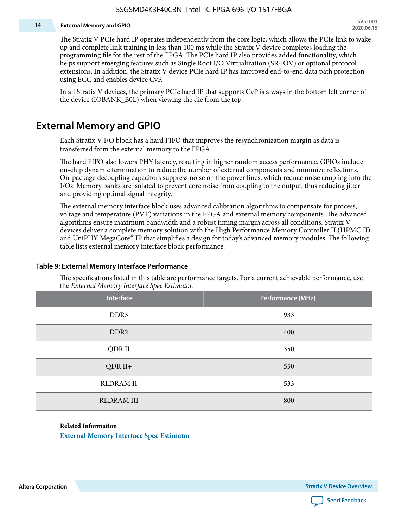#### **14 External Memory and GPIO**

The Stratix V PCIe hard IP operates independently from the core logic, which allows the PCIe link to wake up and complete link training in less than 100 ms while the Stratix V device completes loading the programming file for the rest of the FPGA. The PCIe hard IP also provides added functionality, which helps support emerging features such as Single Root I/O Virtualization (SR-IOV) or optional protocol extensions. In addition, the Stratix V device PCIe hard IP has improved end-to-end data path protection using ECC and enables device CvP.

In all Stratix V devices, the primary PCIe hard IP that supports CvP is always in the bottom left corner of the device (IOBANK\_B0L) when viewing the die from the top.

### **External Memory and GPIO**

Each Stratix V I/O block has a hard FIFO that improves the resynchronization margin as data is transferred from the external memory to the FPGA.

The hard FIFO also lowers PHY latency, resulting in higher random access performance. GPIOs include on-chip dynamic termination to reduce the number of external components and minimize reflections. On-package decoupling capacitors suppress noise on the power lines, which reduce noise coupling into the I/Os. Memory banks are isolated to prevent core noise from coupling to the output, thus reducing jitter and providing optimal signal integrity.

The external memory interface block uses advanced calibration algorithms to compensate for process, voltage and temperature (PVT) variations in the FPGA and external memory components. The advanced algorithms ensure maximum bandwidth and a robust timing margin across all conditions. Stratix V devices deliver a complete memory solution with the High Performance Memory Controller II (HPMC II) and UniPHY MegaCore® IP that simplifies a design for today's advanced memory modules. The following table lists external memory interface block performance.

| Interface         | Performance (MHz) |
|-------------------|-------------------|
| DDR3              | 933               |
| DDR <sub>2</sub>  | 400               |
| QDR II            | 350               |
| $QDR II+$         | 550               |
| <b>RLDRAM II</b>  | 533               |
| <b>RLDRAM III</b> | 800               |

#### **Table 9: External Memory Interface Performance**

The specifications listed in this table are performance targets. For a current achievable performance, use the *External Memory Interface Spec Estimator*.

#### **Related Information**

**[External Memory Interface Spec Estimator](http://www.altera.com/technology/memory/estimator/mem-emif-index.html)**

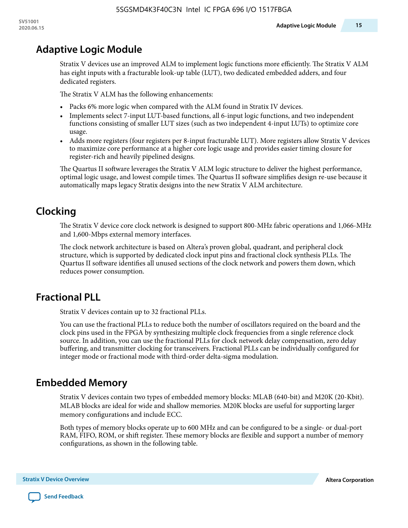# **Adaptive Logic Module**

Stratix V devices use an improved ALM to implement logic functions more efficiently. The Stratix V ALM has eight inputs with a fracturable look-up table (LUT), two dedicated embedded adders, and four dedicated registers.

The Stratix V ALM has the following enhancements:

- Packs 6% more logic when compared with the ALM found in Stratix IV devices.
- Implements select 7-input LUT-based functions, all 6-input logic functions, and two independent functions consisting of smaller LUT sizes (such as two independent 4-input LUTs) to optimize core usage.
- Adds more registers (four registers per 8-input fracturable LUT). More registers allow Stratix V devices to maximize core performance at a higher core logic usage and provides easier timing closure for register-rich and heavily pipelined designs.

The Quartus II software leverages the Stratix V ALM logic structure to deliver the highest performance, optimal logic usage, and lowest compile times. The Quartus II software simplifies design re-use because it automatically maps legacy Stratix designs into the new Stratix V ALM architecture.

# **Clocking**

The Stratix V device core clock network is designed to support 800-MHz fabric operations and 1,066-MHz and 1,600-Mbps external memory interfaces.

The clock network architecture is based on Altera's proven global, quadrant, and peripheral clock structure, which is supported by dedicated clock input pins and fractional clock synthesis PLLs. The Quartus II software identifies all unused sections of the clock network and powers them down, which reduces power consumption.

# **Fractional PLL**

Stratix V devices contain up to 32 fractional PLLs.

You can use the fractional PLLs to reduce both the number of oscillators required on the board and the clock pins used in the FPGA by synthesizing multiple clock frequencies from a single reference clock source. In addition, you can use the fractional PLLs for clock network delay compensation, zero delay buffering, and transmitter clocking for transceivers. Fractional PLLs can be individually configured for integer mode or fractional mode with third-order delta-sigma modulation.

# **Embedded Memory**

Stratix V devices contain two types of embedded memory blocks: MLAB (640-bit) and M20K (20-Kbit). MLAB blocks are ideal for wide and shallow memories. M20K blocks are useful for supporting larger memory configurations and include ECC.

Both types of memory blocks operate up to 600 MHz and can be configured to be a single- or dual-port RAM, FIFO, ROM, or shift register. These memory blocks are flexible and support a number of memory configurations, as shown in the following table.

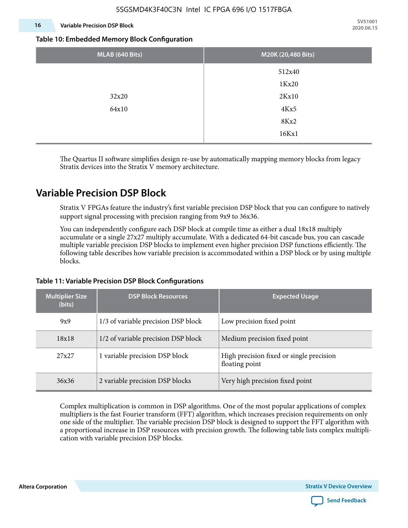#### **16 Variable Precision DSP Block**

**SV51001 2020.06.15**

#### **Table 10: Embedded Memory Block Configuration**

| MLAB (640 Bits) | M20K (20,480 Bits) |
|-----------------|--------------------|
|                 | 512x40             |
|                 | 1Kx20              |
| 32x20           | 2Kx10              |
| 64x10           | 4Kx5               |
|                 | 8Kx2               |
|                 | 16Kx1              |

The Quartus II software simplifies design re-use by automatically mapping memory blocks from legacy Stratix devices into the Stratix V memory architecture.

### **Variable Precision DSP Block**

Stratix V FPGAs feature the industry's first variable precision DSP block that you can configure to natively support signal processing with precision ranging from 9x9 to 36x36.

You can independently configure each DSP block at compile time as either a dual 18x18 multiply accumulate or a single 27x27 multiply accumulate. With a dedicated 64-bit cascade bus, you can cascade multiple variable precision DSP blocks to implement even higher precision DSP functions efficiently. The following table describes how variable precision is accommodated within a DSP block or by using multiple blocks.

| <b>Multiplier Size</b><br>(bits) | <b>DSP Block Resources</b>          | <b>Expected Usage</b>                                      |  |  |
|----------------------------------|-------------------------------------|------------------------------------------------------------|--|--|
| 9x9                              | 1/3 of variable precision DSP block | Low precision fixed point                                  |  |  |
| 18x18                            | 1/2 of variable precision DSP block | Medium precision fixed point                               |  |  |
| 27x27                            | 1 variable precision DSP block      | High precision fixed or single precision<br>floating point |  |  |
| 36x36                            | 2 variable precision DSP blocks     | Very high precision fixed point                            |  |  |

#### **Table 11: Variable Precision DSP Block Configurations**

Complex multiplication is common in DSP algorithms. One of the most popular applications of complex multipliers is the fast Fourier transform (FFT) algorithm, which increases precision requirements on only one side of the multiplier. The variable precision DSP block is designed to support the FFT algorithm with a proportional increase in DSP resources with precision growth. The following table lists complex multipli‐ cation with variable precision DSP blocks.

**Altera Corporation** 

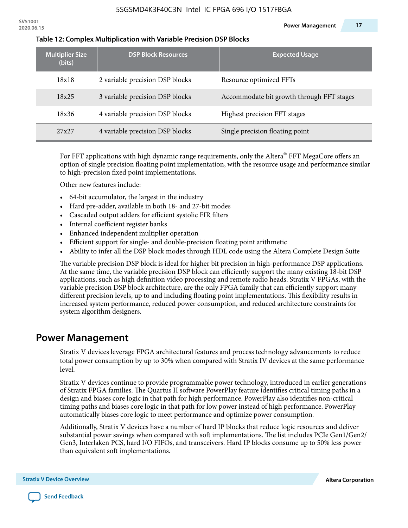| <b>Multiplier Size</b><br>(bits) | <b>DSP Block Resources</b>      | <b>Expected Usage</b>                     |
|----------------------------------|---------------------------------|-------------------------------------------|
| 18x18                            | 2 variable precision DSP blocks | Resource optimized FFTs                   |
| 18x25                            | 3 variable precision DSP blocks | Accommodate bit growth through FFT stages |
| 18x36                            | 4 variable precision DSP blocks | Highest precision FFT stages              |
| 27x27                            | 4 variable precision DSP blocks | Single precision floating point           |

#### **Table 12: Complex Multiplication with Variable Precision DSP Blocks**

For FFT applications with high dynamic range requirements, only the Altera $^\circ$  FFT MegaCore offers an option of single precision floating point implementation, with the resource usage and performance similar to high-precision fixed point implementations.

Other new features include:

- 64-bit accumulator, the largest in the industry
- Hard pre-adder, available in both 18- and 27-bit modes
- Cascaded output adders for efficient systolic FIR filters
- Internal coefficient register banks
- Enhanced independent multiplier operation
- Efficient support for single- and double-precision floating point arithmetic
- Ability to infer all the DSP block modes through HDL code using the Altera Complete Design Suite

The variable precision DSP block is ideal for higher bit precision in high-performance DSP applications. At the same time, the variable precision DSP block can efficiently support the many existing 18-bit DSP applications, such as high definition video processing and remote radio heads. Stratix V FPGAs, with the variable precision DSP block architecture, are the only FPGA family that can efficiently support many different precision levels, up to and including floating point implementations. This flexibility results in increased system performance, reduced power consumption, and reduced architecture constraints for system algorithm designers.

### **Power Management**

Stratix V devices leverage FPGA architectural features and process technology advancements to reduce total power consumption by up to 30% when compared with Stratix IV devices at the same performance level.

Stratix V devices continue to provide programmable power technology, introduced in earlier generations of Stratix FPGA families. The Quartus II software PowerPlay feature identifies critical timing paths in a design and biases core logic in that path for high performance. PowerPlay also identifies non-critical timing paths and biases core logic in that path for low power instead of high performance. PowerPlay automatically biases core logic to meet performance and optimize power consumption.

Additionally, Stratix V devices have a number of hard IP blocks that reduce logic resources and deliver substantial power savings when compared with soft implementations. The list includes PCIe Gen1/Gen2/ Gen3, Interlaken PCS, hard I/O FIFOs, and transceivers. Hard IP blocks consume up to 50% less power than equivalent soft implementations.

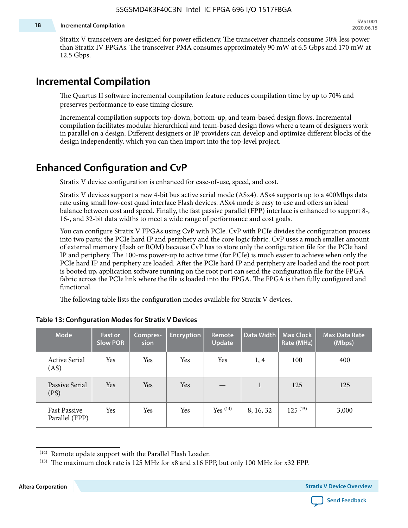#### **18 Incremental Compilation**

Stratix V transceivers are designed for power efficiency. The transceiver channels consume 50% less power than Stratix IV FPGAs. The transceiver PMA consumes approximately 90 mW at 6.5 Gbps and 170 mW at 12.5 Gbps.

### **Incremental Compilation**

The Quartus II software incremental compilation feature reduces compilation time by up to 70% and preserves performance to ease timing closure.

Incremental compilation supports top-down, bottom-up, and team-based design flows. Incremental compilation facilitates modular hierarchical and team-based design flows where a team of designers work in parallel on a design. Different designers or IP providers can develop and optimize different blocks of the design independently, which you can then import into the top-level project.

### **Enhanced Configuration and CvP**

Stratix V device configuration is enhanced for ease-of-use, speed, and cost.

Stratix V devices support a new 4-bit bus active serial mode (ASx4). ASx4 supports up to a 400Mbps data rate using small low-cost quad interface Flash devices. ASx4 mode is easy to use and offers an ideal balance between cost and speed. Finally, the fast passive parallel (FPP) interface is enhanced to support 8-, 16-, and 32-bit data widths to meet a wide range of performance and cost goals.

You can configure Stratix V FPGAs using CvP with PCIe. CvP with PCIe divides the configuration process into two parts: the PCIe hard IP and periphery and the core logic fabric. CvP uses a much smaller amount of external memory (flash or ROM) because CvP has to store only the configuration file for the PCIe hard IP and periphery. The 100-ms power-up to active time (for PCIe) is much easier to achieve when only the PCIe hard IP and periphery are loaded. After the PCIe hard IP and periphery are loaded and the root port is booted up, application software running on the root port can send the configuration file for the FPGA fabric across the PCIe link where the file is loaded into the FPGA. The FPGA is then fully configured and functional.

The following table lists the configuration modes available for Stratix V devices.

| <b>Mode</b>                           | <b>Fast or</b><br><b>Slow POR</b> | Compres-<br>sion | <b>Encryption</b> | Remote<br><b>Update</b> | Data Width | <b>Max Clock</b><br>Rate (MHz) | <b>Max Data Rate</b><br>(Mbps) |
|---------------------------------------|-----------------------------------|------------------|-------------------|-------------------------|------------|--------------------------------|--------------------------------|
| <b>Active Serial</b><br>(AS)          | Yes                               | Yes              | Yes               | Yes                     | 1, 4       | 100                            | 400                            |
| Passive Serial<br>(PS)                | Yes                               | Yes              | Yes               |                         | 1          | 125                            | 125                            |
| <b>Fast Passive</b><br>Parallel (FPP) | Yes                               | Yes              | Yes               | $Yes$ $(14)$            | 8, 16, 32  | $125^{(15)}$                   | 3,000                          |

#### **Table 13: Configuration Modes for Stratix V Devices**

**Altera Corporation Stratix V Device Overview**



<sup>(14)</sup> Remote update support with the Parallel Flash Loader.

<sup>&</sup>lt;sup>(15)</sup> The maximum clock rate is 125 MHz for x8 and x16 FPP, but only 100 MHz for x32 FPP.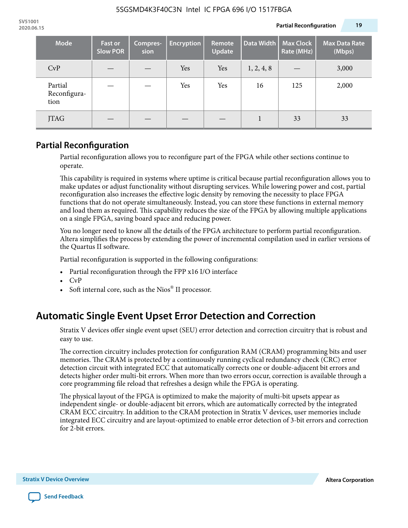| <b>Mode</b>                     | <b>Fast or</b><br><b>Slow POR</b> | Compres-<br>sion | <b>Encryption</b> | Remote<br>Update | Data Width | <b>Max Clock</b><br>Rate (MHz) | <b>Max Data Rate</b><br>(Mbps) |
|---------------------------------|-----------------------------------|------------------|-------------------|------------------|------------|--------------------------------|--------------------------------|
| CvP                             |                                   |                  | Yes               | Yes              | 1, 2, 4, 8 |                                | 3,000                          |
| Partial<br>Reconfigura-<br>tion |                                   |                  | Yes               | Yes              | 16         | 125                            | 2,000                          |
| JTAG                            |                                   |                  |                   |                  |            | 33                             | 33                             |

### **Partial Reconfiguration**

Partial reconfiguration allows you to reconfigure part of the FPGA while other sections continue to operate.

This capability is required in systems where uptime is critical because partial reconfiguration allows you to make updates or adjust functionality without disrupting services. While lowering power and cost, partial reconfiguration also increases the effective logic density by removing the necessity to place FPGA functions that do not operate simultaneously. Instead, you can store these functions in external memory and load them as required. This capability reduces the size of the FPGA by allowing multiple applications on a single FPGA, saving board space and reducing power.

You no longer need to know all the details of the FPGA architecture to perform partial reconfiguration. Altera simplifies the process by extending the power of incremental compilation used in earlier versions of the Quartus II software.

Partial reconfiguration is supported in the following configurations:

- Partial reconfiguration through the FPP x16 I/O interface
- CvP
- Soft internal core, such as the Nios® II processor.

# **Automatic Single Event Upset Error Detection and Correction**

Stratix V devices offer single event upset (SEU) error detection and correction circuitry that is robust and easy to use.

The correction circuitry includes protection for configuration RAM (CRAM) programming bits and user memories. The CRAM is protected by a continuously running cyclical redundancy check (CRC) error detection circuit with integrated ECC that automatically corrects one or double-adjacent bit errors and detects higher order multi-bit errors. When more than two errors occur, correction is available through a core programming file reload that refreshes a design while the FPGA is operating.

The physical layout of the FPGA is optimized to make the majority of multi-bit upsets appear as independent single- or double-adjacent bit errors, which are automatically corrected by the integrated CRAM ECC circuitry. In addition to the CRAM protection in Stratix V devices, user memories include integrated ECC circuitry and are layout-optimized to enable error detection of 3-bit errors and correction for 2-bit errors.

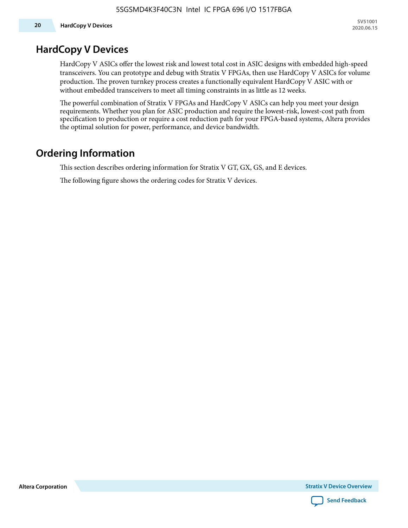### **HardCopy V Devices**

HardCopy V ASICs offer the lowest risk and lowest total cost in ASIC designs with embedded high-speed transceivers. You can prototype and debug with Stratix V FPGAs, then use HardCopy V ASICs for volume production. The proven turnkey process creates a functionally equivalent HardCopy V ASIC with or without embedded transceivers to meet all timing constraints in as little as 12 weeks.

The powerful combination of Stratix V FPGAs and HardCopy V ASICs can help you meet your design requirements. Whether you plan for ASIC production and require the lowest-risk, lowest-cost path from specification to production or require a cost reduction path for your FPGA-based systems, Altera provides the optimal solution for power, performance, and device bandwidth.

# **Ordering Information**

This section describes ordering information for Stratix V GT, GX, GS, and E devices.

The following figure shows the ordering codes for Stratix V devices.

**Altera Corporation** 

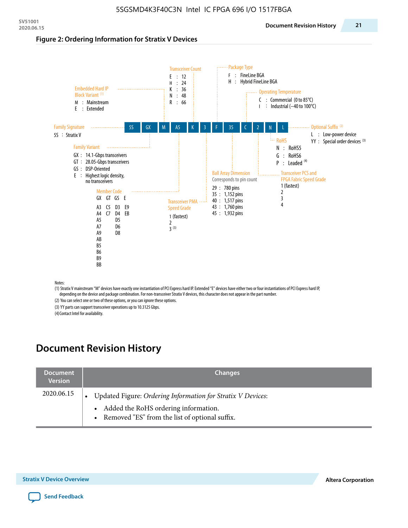#### **Figure 2: Ordering Information for Stratix V Devices**



(1) Stratix V mainstream "M" devices have exactly one instantiation of PCI Express hard IP. Extended "E" devices have either two or four instantiations of PCI Express hard IP, depending on the device and package combination. For non-transceiver Stratix V devices, this character does not appear in the part number.

(2) You can select one or two of these options, or you can ignore these options.

(3) YY parts can support transceiver operations up to 10.3125 Gbps.

(4) Contact Intel for availability.

# **Document Revision History**

| <b>Document</b><br><b>Version</b> | <b>Changes</b>                                                                                                                                            |
|-----------------------------------|-----------------------------------------------------------------------------------------------------------------------------------------------------------|
| 2020.06.15                        | Updated Figure: Ordering Information for Stratix V Devices:<br>• Added the RoHS ordering information.<br>• Removed "ES" from the list of optional suffix. |

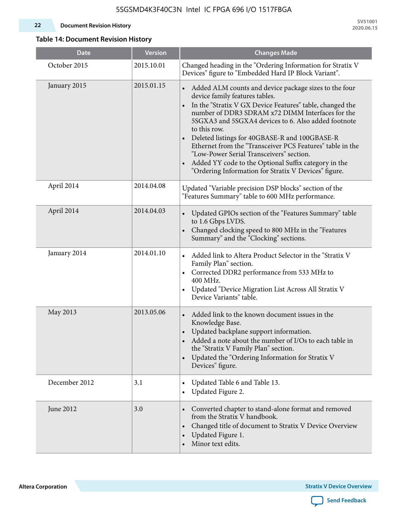#### **22 Document Revision History**

**SV51001 2020.06.15**

#### **Table 14: Document Revision History**

| <b>Date</b>   | <b>Version</b> | <b>Changes Made</b>                                                                                                                                                                                                                                                                                                                                                                                                                                                                                                                                                                |
|---------------|----------------|------------------------------------------------------------------------------------------------------------------------------------------------------------------------------------------------------------------------------------------------------------------------------------------------------------------------------------------------------------------------------------------------------------------------------------------------------------------------------------------------------------------------------------------------------------------------------------|
| October 2015  | 2015.10.01     | Changed heading in the "Ordering Information for Stratix V<br>Devices" figure to "Embedded Hard IP Block Variant".                                                                                                                                                                                                                                                                                                                                                                                                                                                                 |
| January 2015  | 2015.01.15     | Added ALM counts and device package sizes to the four<br>device family features tables.<br>In the "Stratix V GX Device Features" table, changed the<br>$\bullet$<br>number of DDR3 SDRAM x72 DIMM Interfaces for the<br>5SGXA3 and 5SGXA4 devices to 6. Also added footnote<br>to this row.<br>Deleted listings for 40GBASE-R and 100GBASE-R<br>Ethernet from the "Transceiver PCS Features" table in the<br>"Low-Power Serial Transceivers" section.<br>Added YY code to the Optional Suffix category in the<br>$\bullet$<br>"Ordering Information for Stratix V Devices" figure. |
| April 2014    | 2014.04.08     | Updated "Variable precision DSP blocks" section of the<br>"Features Summary" table to 600 MHz performance.                                                                                                                                                                                                                                                                                                                                                                                                                                                                         |
| April 2014    | 2014.04.03     | Updated GPIOs section of the "Features Summary" table<br>to 1.6 Gbps LVDS.<br>Changed clocking speed to 800 MHz in the "Features<br>Summary" and the "Clocking" sections.                                                                                                                                                                                                                                                                                                                                                                                                          |
| January 2014  | 2014.01.10     | Added link to Altera Product Selector in the "Stratix V<br>Family Plan" section.<br>• Corrected DDR2 performance from 533 MHz to<br>400 MHz.<br>Updated "Device Migration List Across All Stratix V<br>Device Variants" table.                                                                                                                                                                                                                                                                                                                                                     |
| May 2013      | 2013.05.06     | Added link to the known document issues in the<br>Knowledge Base.<br>Updated backplane support information.<br>$\bullet$<br>Added a note about the number of I/Os to each table in<br>the "Stratix V Family Plan" section.<br>Updated the "Ordering Information for Stratix V<br>$\bullet$<br>Devices" figure.                                                                                                                                                                                                                                                                     |
| December 2012 | 3.1            | Updated Table 6 and Table 13.<br>$\bullet$<br>Updated Figure 2.<br>$\bullet$                                                                                                                                                                                                                                                                                                                                                                                                                                                                                                       |
| June 2012     | 3.0            | Converted chapter to stand-alone format and removed<br>$\bullet$<br>from the Stratix V handbook.<br>Changed title of document to Stratix V Device Overview<br>$\bullet$<br>Updated Figure 1.<br>$\bullet$<br>Minor text edits.                                                                                                                                                                                                                                                                                                                                                     |

**Altera Corporation** 

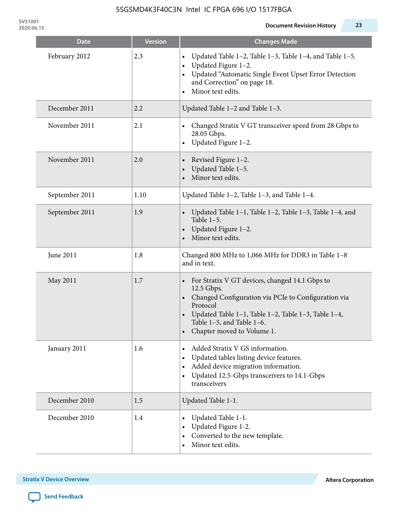| Date           | <b>Version</b> | Changes Made                                                                                                                                                                                                                                                   |
|----------------|----------------|----------------------------------------------------------------------------------------------------------------------------------------------------------------------------------------------------------------------------------------------------------------|
| February 2012  | 2.3            | Updated Table 1-2, Table 1-3, Table 1-4, and Table 1-5.<br>Updated Figure 1-2.<br>$\bullet$<br>Updated "Automatic Single Event Upset Error Detection<br>and Correction" on page 18.<br>Minor text edits.                                                       |
| December 2011  | 2.2            | Updated Table 1-2 and Table 1-3.                                                                                                                                                                                                                               |
| November 2011  | 2.1            | Changed Stratix V GT transceiver speed from 28 Gbps to<br>28.05 Gbps.<br>Updated Figure 1-2.<br>$\bullet$                                                                                                                                                      |
| November 2011  | 2.0            | Revised Figure 1-2.<br>Updated Table 1-5.<br>Minor text edits.                                                                                                                                                                                                 |
| September 2011 | 1.10           | Updated Table 1-2, Table 1-3, and Table 1-4.                                                                                                                                                                                                                   |
| September 2011 | 1.9            | Updated Table 1–1, Table 1–2, Table 1–3, Table 1–4, and<br>Table $1-5$ .<br>Updated Figure 1-2.<br>Minor text edits.                                                                                                                                           |
| June 2011      | 1.8            | Changed 800 MHz to 1,066 MHz for DDR3 in Table 1-8<br>and in text.                                                                                                                                                                                             |
| May 2011       | 1.7            | For Stratix V GT devices, changed 14.1 Gbps to<br>12.5 Gbps.<br>Changed Configuration via PCIe to Configuration via<br>Protocol<br>Updated Table 1-1, Table 1-2, Table 1-3, Table 1-4,<br>$\bullet$<br>Table 1-5, and Table 1-6.<br>Chapter moved to Volume 1. |
| January 2011   | 1.6            | Added Stratix V GS information.<br>Updated tables listing device features.<br>$\bullet$<br>Added device migration information.<br>$\bullet$<br>Updated 12.5-Gbps transceivers to 14.1-Gbps<br>transceivers                                                     |
| December 2010  | 1.5            | Updated Table 1-1.                                                                                                                                                                                                                                             |
| December 2010  | 1.4            | Updated Table 1-1.<br>Updated Figure 1-2.<br>Converted to the new template.<br>Minor text edits.                                                                                                                                                               |

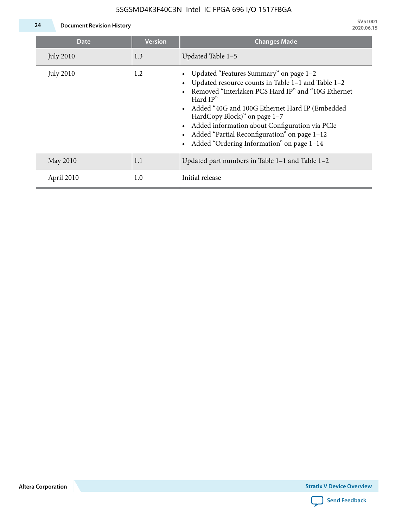

| Date             | <b>Version</b> | <b>Changes Made</b>                                                                                                                                                                                                                                                                                                                                                                                   |
|------------------|----------------|-------------------------------------------------------------------------------------------------------------------------------------------------------------------------------------------------------------------------------------------------------------------------------------------------------------------------------------------------------------------------------------------------------|
| <b>July 2010</b> | 1.3            | Updated Table 1-5                                                                                                                                                                                                                                                                                                                                                                                     |
| <b>July 2010</b> | 1.2            | Updated "Features Summary" on page 1-2<br>Updated resource counts in Table 1-1 and Table 1-2<br>Removed "Interlaken PCS Hard IP" and "10G Ethernet<br>Hard $IP"$<br>• Added "40G and 100G Ethernet Hard IP (Embedded<br>HardCopy Block)" on page 1-7<br>• Added information about Configuration via PCIe<br>Added "Partial Reconfiguration" on page 1-12<br>Added "Ordering Information" on page 1-14 |
| May 2010         | 1.1            | Updated part numbers in Table 1-1 and Table 1-2                                                                                                                                                                                                                                                                                                                                                       |
| April 2010       | 1.0            | Initial release                                                                                                                                                                                                                                                                                                                                                                                       |

**Altera Corporation**